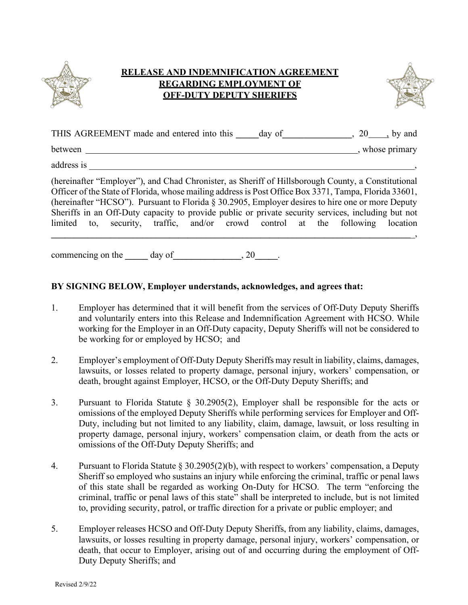

## **RELEASE AND INDEMNIFICATION AGREEMENT REGARDING EMPLOYMENT OF OFF-DUTY DEPUTY SHERIFFS**



| THIS AGREEMENT made and entered into this | dav of | ∠∪ | by and        |
|-------------------------------------------|--------|----|---------------|
| between                                   |        |    | whose primary |

address is \_\_\_\_\_\_\_\_\_\_\_\_\_\_\_\_\_\_\_\_\_\_\_\_\_\_\_\_\_\_\_\_\_\_\_\_\_\_\_\_\_\_\_\_\_\_\_\_\_\_\_\_\_\_\_\_\_\_\_\_\_\_\_\_\_\_\_\_\_\_\_,

(hereinafter "Employer"), and Chad Chronister, as Sheriff of Hillsborough County, a Constitutional Officer of the State of Florida, whose mailing addressis Post Office Box 3371, Tampa, Florida 33601, (hereinafter "HCSO"). Pursuant to Florida § 30.2905, Employer desires to hire one or more Deputy Sheriffs in an Off-Duty capacity to provide public or private security services, including but not limited to, security, traffic, and/or crowd control at the following location

**\_\_\_\_\_\_\_\_\_\_\_\_\_\_\_\_\_\_\_\_\_\_\_\_\_\_\_\_\_\_\_\_\_\_\_\_\_\_\_\_\_\_\_\_\_\_\_\_\_\_\_\_\_\_\_\_\_\_\_\_\_\_\_\_\_\_\_\_\_\_\_\_\_\_\_\_\_\_\_**\_,

commencing on the day of  $\qquad \qquad$ , 20

## **BY SIGNING BELOW, Employer understands, acknowledges, and agrees that:**

- 1. Employer has determined that it will benefit from the services of Off-Duty Deputy Sheriffs and voluntarily enters into this Release and Indemnification Agreement with HCSO. While working for the Employer in an Off-Duty capacity, Deputy Sheriffs will not be considered to be working for or employed by HCSO; and
- 2. Employer's employment of Off-Duty Deputy Sheriffs may result in liability, claims, damages, lawsuits, or losses related to property damage, personal injury, workers' compensation, or death, brought against Employer, HCSO, or the Off-Duty Deputy Sheriffs; and
- 3. Pursuant to Florida Statute § 30.2905(2), Employer shall be responsible for the acts or omissions of the employed Deputy Sheriffs while performing services for Employer and Off-Duty, including but not limited to any liability, claim, damage, lawsuit, or loss resulting in property damage, personal injury, workers' compensation claim, or death from the acts or omissions of the Off-Duty Deputy Sheriffs; and
- 4. Pursuant to Florida Statute § 30.2905(2)(b), with respect to workers' compensation, a Deputy Sheriff so employed who sustains an injury while enforcing the criminal, traffic or penal laws of this state shall be regarded as working On-Duty for HCSO. The term "enforcing the criminal, traffic or penal laws of this state" shall be interpreted to include, but is not limited to, providing security, patrol, or traffic direction for a private or public employer; and
- 5. Employer releases HCSO and Off-Duty Deputy Sheriffs, from any liability, claims, damages, lawsuits, or losses resulting in property damage, personal injury, workers' compensation, or death, that occur to Employer, arising out of and occurring during the employment of Off-Duty Deputy Sheriffs; and